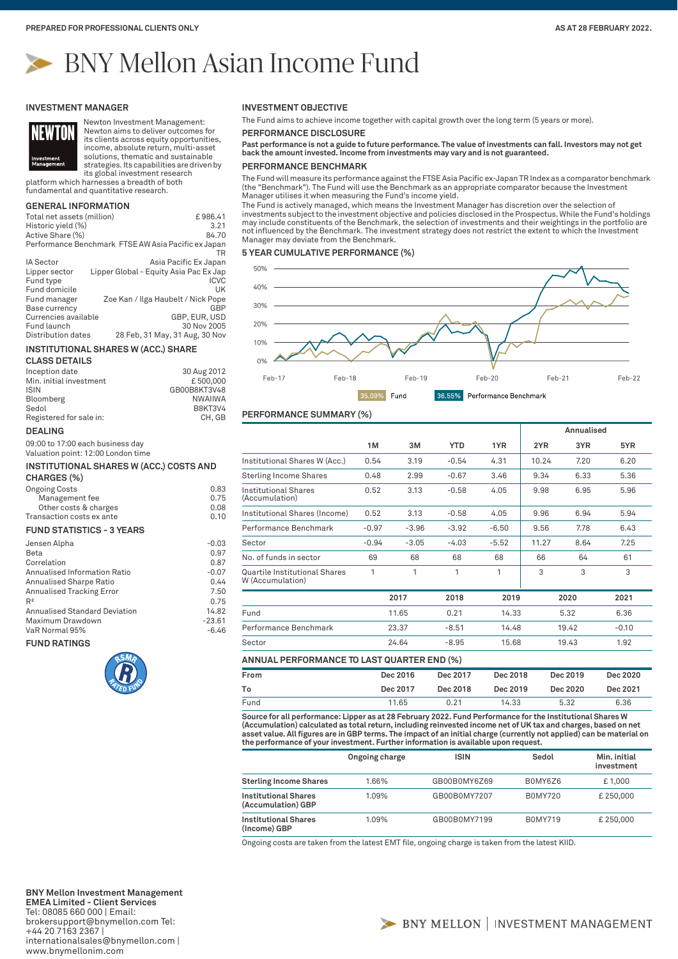# BNY Mellon Asian Income Fund

#### **INVESTMENT MANAGER**



Newton Investment Management: Newton aims to deliver outcomes for its clients across equity opportunities, income, absolute return, multi-asset solutions, thematic and sustainable

strategies. Its capabilities are driven by its global investment research

platform which harnesses a breadth of both fundamental and quantitative research.

## **GENERAL INFORMATION**

| Total net assets (million) | £986.41                                             |
|----------------------------|-----------------------------------------------------|
| Historic yield (%)         | 3.21                                                |
| Active Share (%)           | 84.70                                               |
|                            | Performance Benchmark FTSE AW Asia Pacific ex Japan |
|                            | TR                                                  |
| <b>IA Sector</b>           | Asia Pacific Ex Japan                               |
| Lipper sector              | Lipper Global - Equity Asia Pac Ex Jap              |
| Fund type                  | <b>ICVC</b>                                         |
| Fund domicile              | UK                                                  |
| Fund manager               | Zoe Kan / Ilga Haubelt / Nick Pope                  |
| Base currency              | GBP                                                 |
| Currencies available       | GBP. EUR. USD                                       |
| Fund launch                | 30 Nov 2005                                         |
| Distribution dates         | 28 Feb, 31 May, 31 Aug, 30 Nov                      |

#### **INSTITUTIONAL SHARES W (ACC.) SHARE**

**CLASS DETAILS**

| Inception date          | 30 Aug 2012    |
|-------------------------|----------------|
| Min. initial investment | £500.000       |
| <b>ISIN</b>             | GB00B8KT3V48   |
| Bloomberg               | <b>NWAIIWA</b> |
| Sedol                   | <b>B8KT3V4</b> |
| Registered for sale in: | CH. GB         |

#### **DEALING**

09:00 to 17:00 each business day Valuation point: 12:00 London time

# **INSTITUTIONAL SHARES W (ACC.) COSTS AND**

# **CHARGES (%)**

| <b>Ongoing Costs</b>      | 0.83 |
|---------------------------|------|
| Management fee            | 0.75 |
| Other costs & charges     | 0.08 |
| Transaction costs ex ante | 0.10 |
|                           |      |

### **FUND STATISTICS - 3 YEARS**

| Jensen Alpha                         | $-0.03$  |
|--------------------------------------|----------|
| Beta                                 | 0.97     |
| Correlation                          | 0.87     |
| Annualised Information Ratio         | $-0.07$  |
| Annualised Sharpe Ratio              | 0.44     |
| Annualised Tracking Error            | 7.50     |
| R <sup>2</sup>                       | 0.75     |
| <b>Annualised Standard Deviation</b> | 14.82    |
| Maximum Drawdown                     | $-23.61$ |
| VaR Normal 95%                       | $-6.46$  |
| <b>CHAIN DATINGS</b>                 |          |

**FUND RATINGS**



### **INVESTMENT OBJECTIVE**

The Fund aims to achieve income together with capital growth over the long term (5 years or more).

**PERFORMANCE DISCLOSURE**

**Past performance is not a guide to future performance. The value of investments can fall. Investors may not get back the amount invested. Income from investments may vary and is not guaranteed.**

### **PERFORMANCE BENCHMARK**

The Fund will measure its performance against the FTSE Asia Pacific ex-Japan TR Index as a comparator benchmark (the "Benchmark"). The Fund will use the Benchmark as an appropriate comparator because the Investment Manager utilises it when measuring the Fund's income yield.

The Fund is actively managed, which means the Investment Manager has discretion over the selection of investments subject to the investment objective and policies disclosed in the Prospectus. While the Fund's holdings may include constituents of the Benchmark, the selection of investments and their weightings in the portfolio are not influenced by the Benchmark. The investment strategy does not restrict the extent to which the Investment Manager may deviate from the Benchmark.

#### **5 YEAR CUMULATIVE PERFORMANCE (%)**



#### **PERFORMANCE SUMMARY (%)**

|                                                   |         |         |            |         |       | Annualised |         |
|---------------------------------------------------|---------|---------|------------|---------|-------|------------|---------|
|                                                   | 1M      | 3M      | <b>YTD</b> | 1YR     | 2YR   | 3YR        | 5YR     |
| Institutional Shares W (Acc.)                     | 0.54    | 3.19    | $-0.54$    | 4.31    | 10.24 | 7.20       | 6.20    |
| <b>Sterling Income Shares</b>                     | 0.48    | 2.99    | $-0.67$    | 3.46    | 9.34  | 6.33       | 5.36    |
| Institutional Shares<br>(Accumulation)            | 0.52    | 3.13    | $-0.58$    | 4.05    | 9.98  | 6.95       | 5.96    |
| Institutional Shares (Income)                     | 0.52    | 3.13    | $-0.58$    | 4.05    | 9.96  | 6.94       | 5.94    |
| Performance Benchmark                             | $-0.97$ | $-3.96$ | $-3.92$    | $-6.50$ | 9.56  | 7.78       | 6.43    |
| Sector                                            | $-0.94$ | $-3.05$ | $-4.03$    | $-5.52$ | 11.27 | 8.64       | 7.25    |
| No. of funds in sector                            | 69      | 68      | 68         | 68      | 66    | 64         | 61      |
| Quartile Institutional Shares<br>W (Accumulation) | 1       | 1       | 1          | 1       | 3     | 3          | 3       |
|                                                   | 2017    |         | 2018       | 2019    |       | 2020       | 2021    |
| Fund                                              |         | 11.65   | 0.21       | 14.33   |       | 5.32       | 6.36    |
| Performance Benchmark                             |         | 23.37   | $-8.51$    | 14.48   |       | 19.42      | $-0.10$ |
| Sector                                            |         | 24.64   | $-8.95$    | 15.68   |       | 19.43      | 1.92    |

| Dec 2019<br>Dec 2020<br>Dec 2018 |
|----------------------------------|
| Dec 2021<br>Dec 2020<br>Dec 2019 |
| 6.36<br>5.32                     |
|                                  |

**Source for all performance: Lipper as at 28 February 2022. Fund Performance for the Institutional Shares W**  (Accumulation) calculated as total return, including reinvested income net of UK tax and charges, based on net<br>asset value. All figures are in GBP terms. The impact of an initial charge (currently not applied) can be mater **the performance of your investment. Further information is available upon request.**

|                                                   | Ongoing charge | <b>ISIN</b>  | Sedol          | Min. initial<br>investment |
|---------------------------------------------------|----------------|--------------|----------------|----------------------------|
| <b>Sterling Income Shares</b>                     | 1.66%          | GB00B0MY6Z69 | B0MY6Z6        | £1,000                     |
| <b>Institutional Shares</b><br>(Accumulation) GBP | 1.09%          | GB00B0MY7207 | <b>B0MY720</b> | £250,000                   |
| <b>Institutional Shares</b><br>(Income) GBP       | 1.09%          | GB00B0MY7199 | <b>B0MY719</b> | £250,000                   |

Ongoing costs are taken from the latest EMT file, ongoing charge is taken from the latest KIID.